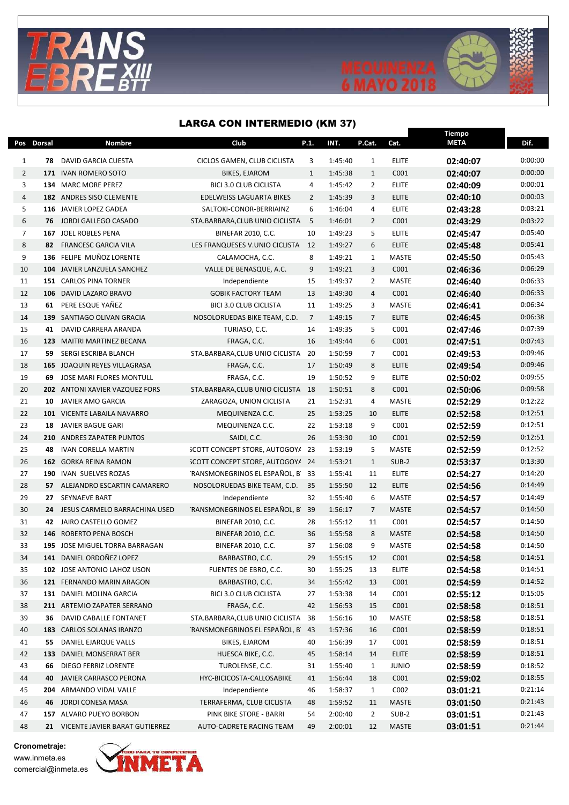



| Pos Dorsal     |    | Nombre                                                   | Club                                             | P.1.           | INT.               | P.Cat.         | Cat.         | Tiempo<br><b>META</b> | Dif.               |
|----------------|----|----------------------------------------------------------|--------------------------------------------------|----------------|--------------------|----------------|--------------|-----------------------|--------------------|
| $\mathbf{1}$   | 78 | DAVID GARCIA CUESTA                                      | CICLOS GAMEN, CLUB CICLISTA                      | 3              | 1:45:40            | $\mathbf{1}$   | <b>ELITE</b> | 02:40:07              | 0:00:00            |
| $\overline{2}$ |    | 171 IVAN ROMERO SOTO                                     | <b>BIKES, EJAROM</b>                             | $\mathbf{1}$   | 1:45:38            | $\mathbf{1}$   | C001         | 02:40:07              | 0:00:00            |
| 3              |    | 134 MARC MORE PEREZ                                      | <b>BICI 3.0 CLUB CICLISTA</b>                    | 4              | 1:45:42            | 2              | <b>ELITE</b> | 02:40:09              | 0:00:01            |
| 4              |    | 182 ANDRES SISO CLEMENTE                                 | <b>EDELWEISS LAGUARTA BIKES</b>                  | $\overline{2}$ | 1:45:39            | 3              | <b>ELITE</b> | 02:40:10              | 0:00:03            |
| 5              |    | 116 JAVIER LOPEZ GADEA                                   | SALTOKI-CONOR-BERRIAINZ                          | 6              | 1:46:04            | 4              | <b>ELITE</b> | 02:43:28              | 0:03:21            |
| 6              |    | <b>76 JORDI GALLEGO CASADO</b>                           | STA.BARBARA, CLUB UNIO CICLISTA 5                |                | 1:46:01            | $\overline{2}$ | C001         | 02:43:29              | 0:03:22            |
| 7              |    | 167 JOEL ROBLES PENA                                     | <b>BINEFAR 2010, C.C.</b>                        | 10             | 1:49:23            | 5              | <b>ELITE</b> | 02:45:47              | 0:05:40            |
| 8              |    | 82 FRANCESC GARCIA VILA                                  | LES FRANQUESES V.UNIO CICLISTA                   | 12             | 1:49:27            | 6              | <b>ELITE</b> | 02:45:48              | 0:05:41            |
| 9              |    | 136 FELIPE MUÑOZ LORENTE                                 | CALAMOCHA, C.C.                                  | 8              | 1:49:21            | $\mathbf{1}$   | <b>MASTE</b> | 02:45:50              | 0:05:43            |
| 10             |    | 104 JAVIER LANZUELA SANCHEZ                              | VALLE DE BENASQUE, A.C.                          | 9              | 1:49:21            | 3              | C001         | 02:46:36              | 0:06:29            |
| 11             |    | 151 CARLOS PINA TORNER                                   | Independiente                                    | 15             | 1:49:37            | $\overline{2}$ | <b>MASTE</b> | 02:46:40              | 0:06:33            |
| 12             |    | 106 DAVID LAZARO BRAVO                                   | <b>GOBIK FACTORY TEAM</b>                        | 13             | 1:49:30            | 4              | C001         | 02:46:40              | 0:06:33            |
| 13             | 61 | PERE ESQUE YAÑEZ                                         | <b>BICI 3.0 CLUB CICLISTA</b>                    | 11             | 1:49:25            | 3              | <b>MASTE</b> | 02:46:41              | 0:06:34            |
| 14             |    | 139 SANTIAGO OLIVAN GRACIA                               | NOSOLORUEDAS BIKE TEAM, C.D.                     | $\overline{7}$ | 1:49:15            | $\overline{7}$ | <b>ELITE</b> | 02:46:45              | 0:06:38            |
| 15             | 41 | DAVID CARRERA ARANDA                                     | TURIASO, C.C.                                    | 14             | 1:49:35            | 5              | C001         | 02:47:46              | 0:07:39            |
| 16             |    | 123 MAITRI MARTINEZ BECANA                               | FRAGA, C.C.                                      | 16             | 1:49:44            | 6              | C001         | 02:47:51              | 0:07:43            |
| 17             | 59 | SERGI ESCRIBA BLANCH                                     | STA.BARBARA, CLUB UNIO CICLISTA                  | -20            | 1:50:59            | 7              | C001         | 02:49:53              | 0:09:46            |
| 18             |    | 165 JOAQUIN REYES VILLAGRASA                             | FRAGA, C.C.                                      | 17             | 1:50:49            | 8              | <b>ELITE</b> | 02:49:54              | 0:09:46            |
| 19             | 69 | JOSE MARI FLORES MONTULL                                 | FRAGA, C.C.                                      | 19             | 1:50:52            | 9              | <b>ELITE</b> | 02:50:02              | 0:09:55            |
| 20             |    | <b>202 ANTONI XAVIER VAZQUEZ FORS</b>                    | STA.BARBARA, CLUB UNIO CICLISTA 18               |                | 1:50:51            | 8              | C001         | 02:50:06              | 0:09:58            |
| 21             | 10 | <b>JAVIER AMO GARCIA</b>                                 | ZARAGOZA, UNION CICLISTA                         | 21             | 1:52:31            | 4              | <b>MASTE</b> | 02:52:29              | 0:12:22            |
| 22             |    | 101 VICENTE LABAILA NAVARRO                              | MEQUINENZA C.C.                                  | 25             | 1:53:25            | 10             | <b>ELITE</b> | 02:52:58              | 0:12:51            |
| 23             | 18 | JAVIER BAGUE GARI                                        | MEQUINENZA C.C.                                  | 22             | 1:53:18            | 9              | C001         | 02:52:59              | 0:12:51            |
| 24             |    | <b>210 ANDRES ZAPATER PUNTOS</b>                         | SAIDI, C.C.                                      | 26             | 1:53:30            | 10             | C001         | 02:52:59              | 0:12:51            |
| 25             | 48 | <b>IVAN CORELLA MARTIN</b>                               | <b>SCOTT CONCEPT STORE, AUTOGOYA 23</b>          |                | 1:53:19            | 5              | <b>MASTE</b> | 02:52:59              | 0:12:52            |
| 26             |    | 162 GORKA REINA RAMON                                    | <b>SCOTT CONCEPT STORE, AUTOGOYA 24</b>          |                | 1:53:21            | $\mathbf{1}$   | $SUB-2$      | 02:53:37              | 0:13:30            |
| 27             |    | 190 IVAN SUELVES ROZAS                                   | RANSMONEGRINOS EL ESPAÑOL, B 33                  |                | 1:55:41            | 11             | <b>ELITE</b> | 02:54:27              | 0:14:20            |
| 28             | 57 | ALEJANDRO ESCARTIN CAMARERO                              | NOSOLORUEDAS BIKE TEAM, C.D.                     | 35             | 1:55:50            | 12             | <b>ELITE</b> | 02:54:56              | 0:14:49            |
| 29             | 27 | <b>SEYNAEVE BART</b>                                     | Independiente                                    | 32             | 1:55:40            | 6              | <b>MASTE</b> | 02:54:57              | 0:14:49            |
| 30             |    | 24 JESUS CARMELO BARRACHINA USED                         | RANSMONEGRINOS EL ESPAÑOL, B                     | - 39           | 1:56:17            | $\overline{7}$ | <b>MASTE</b> | 02:54:57              | 0:14:50            |
| 31             | 42 | JAIRO CASTELLO GOMEZ                                     | <b>BINEFAR 2010, C.C.</b>                        | 28             | 1:55:12            | 11             | C001         | 02:54:57              | 0:14:50            |
| 32             |    | 146 ROBERTO PENA BOSCH                                   | <b>BINEFAR 2010, C.C.</b>                        | 36             | 1:55:58            | 8              | <b>MASTE</b> | 02:54:58              | 0:14:50            |
| 33             |    | 195 JOSE MIGUEL TORRA BARRAGAN                           | <b>BINEFAR 2010, C.C.</b>                        | 37             | 1:56:08            | 9              | <b>MASTE</b> | 02:54:58              | 0:14:50            |
| 34             |    | 141 DANIEL ORDOÑEZ LOPEZ                                 | BARBASTRO, C.C.                                  | 29             | 1:55:15            | 12             | C001         | 02:54:58              | 0:14:51<br>0:14:51 |
| 35             |    | 102 JOSE ANTONIO LAHOZ USON<br>121 FERNANDO MARIN ARAGON | FUENTES DE EBRO, C.C.                            | 30             | 1:55:25            | 13             | <b>ELITE</b> | 02:54:58              | 0:14:52            |
| 36<br>37       |    | 131 DANIEL MOLINA GARCIA                                 | BARBASTRO, C.C.<br><b>BICI 3.0 CLUB CICLISTA</b> | 34             | 1:55:42<br>1:53:38 | 13<br>14       | C001<br>C001 | 02:54:59              | 0:15:05            |
| 38             |    | 211 ARTEMIO ZAPATER SERRANO                              | FRAGA, C.C.                                      | 27<br>42       | 1:56:53            | 15             | C001         | 02:55:12              | 0:18:51            |
| 39             |    | <b>36 DAVID CABALLE FONTANET</b>                         | STA.BARBARA, CLUB UNIO CICLISTA 38               |                | 1:56:16            | 10             | MASTE        | 02:58:58<br>02:58:58  | 0:18:51            |
| 40             |    | 183 CARLOS SOLANAS IRANZO                                | RANSMONEGRINOS EL ESPAÑOL, B 43                  |                | 1:57:36            | 16             | C001         | 02:58:59              | 0:18:51            |
| 41             | 55 | DANIEL EJARQUE VALLS                                     | BIKES, EJAROM                                    | 40             | 1:56:39            | 17             | C001         | 02:58:59              | 0:18:51            |
| 42             |    | 133 DANIEL MONSERRAT BER                                 | HUESCA BIKE, C.C.                                | 45             | 1:58:14            | 14             | <b>ELITE</b> | 02:58:59              | 0:18:51            |
| 43             | 66 | DIEGO FERRIZ LORENTE                                     | TUROLENSE, C.C.                                  | 31             | 1:55:40            | $\mathbf{1}$   | <b>JUNIO</b> | 02:58:59              | 0:18:52            |
| 44             |    | 40 JAVIER CARRASCO PERONA                                | HYC-BICICOSTA-CALLOSABIKE                        | 41             | 1:56:44            | 18             | C001         | 02:59:02              | 0:18:55            |
| 45             |    | 204 ARMANDO VIDAL VALLE                                  | Independiente                                    | 46             | 1:58:37            | $\mathbf{1}$   | C002         | 03:01:21              | 0:21:14            |
| 46             |    | 46 JORDI CONESA MASA                                     | TERRAFERMA, CLUB CICLISTA                        | 48             | 1:59:52            | 11             | <b>MASTE</b> | 03:01:50              | 0:21:43            |
| 47             |    | 157 ALVARO PUEYO BORBON                                  | PINK BIKE STORE - BARRI                          | 54             | 2:00:40            | $\overline{2}$ | $SUB-2$      | 03:01:51              | 0:21:43            |
| 48             |    | 21 VICENTE JAVIER BARAT GUTIERREZ                        | AUTO-CADRETE RACING TEAM                         | 49             | 2:00:01            | 12             | MASTE        | 03:01:51              | 0:21:44            |

Cronometraje: www.inmeta.es

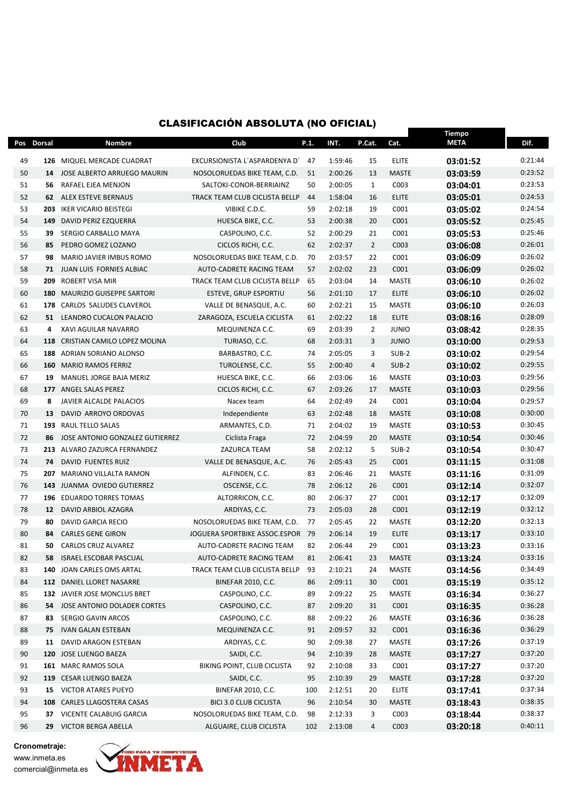## CLASIFICACIÓN ABSOLUTA (NO OFICIAL)

|          | Pos Dorsal      | Nombre                                                  | Club                                                    | P.1.      | INT.               | P.Cat.             | Cat.                         | <b>Tiempo</b><br><b>META</b> | Dif.               |
|----------|-----------------|---------------------------------------------------------|---------------------------------------------------------|-----------|--------------------|--------------------|------------------------------|------------------------------|--------------------|
|          |                 |                                                         | EXCURSIONISTA L'ASPARDENYA D'                           |           |                    |                    |                              |                              | 0:21:44            |
| 49       |                 | 126 MIQUEL MERCADE CUADRAT                              |                                                         | 47<br>51  | 1:59:46<br>2:00:26 | 15                 | <b>ELITE</b><br><b>MASTE</b> | 03:01:52                     | 0:23:52            |
| 50<br>51 |                 | 14 JOSE ALBERTO ARRUEGO MAURIN<br>56 RAFAEL EJEA MENJON | NOSOLORUEDAS BIKE TEAM, C.D.<br>SALTOKI-CONOR-BERRIAINZ | 50        | 2:00:05            | 13<br>$\mathbf{1}$ | C003                         | 03:03:59<br>03:04:01         | 0:23:53            |
| 52       |                 | <b>62 ALEX ESTEVE BERNAUS</b>                           | TRACK TEAM CLUB CICLISTA BELLP                          | 44        | 1:58:04            | 16                 | <b>ELITE</b>                 | 03:05:01                     | 0:24:53            |
| 53       |                 | <b>203 IKER VICARIO BEISTEGI</b>                        | VIBIKE C.D.C.                                           | 59        | 2:02:18            | 19                 | C001                         | 03:05:02                     | 0:24:54            |
| 54       |                 | 149 DAVID PERIZ EZQUERRA                                | HUESCA BIKE, C.C.                                       | 53        | 2:00:38            | 20                 | C001                         | 03:05:52                     | 0:25:45            |
| 55       | 39              | SERGIO CARBALLO MAYA                                    | CASPOLINO, C.C.                                         | 52        | 2:00:29            | 21                 | C001                         | 03:05:53                     | 0:25:46            |
| 56       | 85              | PEDRO GOMEZ LOZANO                                      | CICLOS RICHI, C.C.                                      | 62        | 2:02:37            | $\overline{2}$     | C003                         | 03:06:08                     | 0:26:01            |
| 57       | 98              | MARIO JAVIER IMBUS ROMO                                 | NOSOLORUEDAS BIKE TEAM, C.D.                            | 70        | 2:03:57            | 22                 | C001                         | 03:06:09                     | 0:26:02            |
| 58       |                 | 71 JUAN LUIS FORNIES ALBIAC                             | AUTO-CADRETE RACING TEAM                                | 57        | 2:02:02            | 23                 | C001                         | 03:06:09                     | 0:26:02            |
| 59       |                 | 209 ROBERT VISA MIR                                     | TRACK TEAM CLUB CICLISTA BELLP                          | 65        | 2:03:04            | 14                 | <b>MASTE</b>                 | 03:06:10                     | 0:26:02            |
| 60       |                 | <b>180 MAURIZIO GUISEPPE SARTORI</b>                    | ESTEVE, GRUP ESPORTIU                                   | 56        | 2:01:10            | 17                 | <b>ELITE</b>                 | 03:06:10                     | 0:26:02            |
| 61       |                 | 178 CARLOS SALUDES CLAVEROL                             | VALLE DE BENASQUE, A.C.                                 | 60        | 2:02:21            | 15                 | <b>MASTE</b>                 | 03:06:10                     | 0:26:03            |
| 62       |                 | 51 LEANDRO CUCALON PALACIO                              | ZARAGOZA, ESCUELA CICLISTA                              | 61        | 2:02:22            | 18                 | <b>ELITE</b>                 | 03:08:16                     | 0:28:09            |
| 63       | 4               | <b>XAVI AGUILAR NAVARRO</b>                             | MEQUINENZA C.C.                                         | 69        | 2:03:39            | $\overline{2}$     | <b>JUNIO</b>                 | 03:08:42                     | 0:28:35            |
| 64       |                 | 118 CRISTIAN CAMILO LOPEZ MOLINA                        | TURIASO, C.C.                                           | 68        | 2:03:31            | 3                  | <b>JUNIO</b>                 | 03:10:00                     | 0:29:53            |
| 65       |                 | 188 ADRIAN SORIANO ALONSO                               | BARBASTRO, C.C.                                         | 74        | 2:05:05            | 3                  | $SUB-2$                      | 03:10:02                     | 0:29:54            |
| 66       |                 | <b>160 MARIO RAMOS FERRIZ</b>                           | TUROLENSE, C.C.                                         | 55        | 2:00:40            | $\overline{4}$     | $SUB-2$                      | 03:10:02                     | 0:29:55            |
| 67       | 19              | MANUEL JORGE BAJA MERIZ                                 | HUESCA BIKE, C.C.                                       | 66        | 2:03:06            | 16                 | <b>MASTE</b>                 | 03:10:03                     | 0:29:56            |
| 68       |                 | 177 ANGEL SALAS PEREZ                                   | CICLOS RICHI, C.C.                                      | 67        | 2:03:26            | 17                 | <b>MASTE</b>                 | 03:10:03                     | 0:29:56            |
| 69       | 8               | JAVIER ALCALDE PALACIOS                                 | Nacex team                                              | 64        | 2:02:49            | 24                 | C001                         | 03:10:04                     | 0:29:57            |
| 70       | 13 <sup>7</sup> | DAVID ARROYO ORDOVAS                                    | Independiente                                           | 63        | 2:02:48            | 18                 | <b>MASTE</b>                 | 03:10:08                     | 0:30:00            |
| 71       |                 | 193 RAUL TELLO SALAS                                    | ARMANTES, C.D.                                          | 71        | 2:04:02            | 19                 | <b>MASTE</b>                 | 03:10:53                     | 0:30:45            |
| 72       | 86              | JOSE ANTONIO GONZALEZ GUTIERREZ                         | Ciclista Fraga                                          | 72        | 2:04:59            | 20                 | <b>MASTE</b>                 | 03:10:54                     | 0:30:46            |
| 73       |                 | 213 ALVARO ZAZURCA FERNANDEZ                            | ZAZURCA TEAM                                            | 58        | 2:02:12            | 5                  | $SUB-2$                      | 03:10:54                     | 0:30:47            |
| 74       | 74              | DAVID FUENTES RUIZ                                      | VALLE DE BENASQUE, A.C.                                 | 76        | 2:05:43            | 25                 | C001                         | 03:11:15                     | 0:31:08            |
| 75       |                 | 207 MARIANO VILLALTA RAMON                              | ALFINDEN, C.C.                                          | 83        | 2:06:46            | 21                 | <b>MASTE</b>                 | 03:11:16                     | 0:31:09            |
| 76       |                 | 143 JUANMA OVIEDO GUTIERREZ                             | OSCENSE, C.C.                                           | 78        | 2:06:12            | 26                 | C001                         | 03:12:14                     | 0:32:07            |
| 77       |                 | <b>196 EDUARDO TORRES TOMAS</b>                         | ALTORRICON, C.C.                                        | 80        | 2:06:37            | 27                 | C001                         | 03:12:17                     | 0:32:09            |
| 78       |                 | 12 DAVID ARBIOL AZAGRA                                  | ARDIYAS, C.C.                                           | 73        | 2:05:03            | 28                 | C001                         | 03:12:19                     | 0:32:12            |
| 79       | 80              | DAVID GARCIA RECIO                                      | NOSOLORUEDAS BIKE TEAM, C.D.                            | 77        | 2:05:45            | 22                 | <b>MASTE</b>                 | 03:12:20                     | 0:32:13            |
| 80       | 84              | <b>CARLES GENE GIRON</b>                                | <b>IOGUERA SPORTBIKE ASSOC.ESPOR 79</b>                 |           | 2:06:14            | 19                 | <b>ELITE</b>                 | 03:13:17                     | 0:33:10            |
| 81       | 50              | <b>CARLOS CRUZ ALVAREZ</b>                              | AUTO-CADRETE RACING TEAM                                | 82        | 2:06:44            | 29                 | C001                         | 03:13:23                     | 0:33:16            |
| 82       | 58              | <b>ISRAEL ESCOBAR PASCUAL</b>                           | <b>AUTO-CADRETE RACING TEAM</b>                         | 81        | 2:06:41            | 23                 | <b>MASTE</b>                 | 03:13:24                     | 0:33:16            |
| 83       |                 | 140 JOAN CARLES OMS ARTAL                               | TRACK TEAM CLUB CICLISTA BELLP                          | - 93      | 2:10:21            | 24                 | <b>MASTE</b>                 | 03:14:56                     | 0:34:49            |
| 84       |                 | 112 DANIEL LLORET NASARRE                               | BINEFAR 2010, C.C.                                      | 86        | 2:09:11            | 30                 | C001                         | 03:15:19                     | 0:35:12            |
| 85       |                 | 132 JAVIER JOSE MONCLUS BRET                            | CASPOLINO, C.C.                                         | 89        | 2:09:22            | 25                 | <b>MASTE</b>                 | 03:16:34                     | 0:36:27            |
| 86       |                 | <b>54 JOSE ANTONIO DOLADER CORTES</b>                   | CASPOLINO, C.C.                                         | 87        | 2:09:20            | 31                 | C001                         | 03:16:35                     | 0:36:28            |
| 87       |                 | 83 SERGIO GAVIN ARCOS                                   | CASPOLINO, C.C.                                         | 88        | 2:09:22            | 26                 | MASTE                        | 03:16:36                     | 0:36:28            |
| 88       |                 | 75 IVAN GALAN ESTEBAN                                   | MEQUINENZA C.C.                                         | 91        | 2:09:57            | 32                 | C001                         | 03:16:36                     | 0:36:29            |
| 89       | 11              | DAVID ARAGON ESTEBAN                                    | ARDIYAS, C.C.                                           | 90        | 2:09:38            | 27                 | MASTE                        | 03:17:26                     | 0:37:19            |
| 90       |                 | 120 JOSE LUENGO BAEZA                                   | SAIDI, C.C.                                             | 94        | 2:10:39            | 28                 | <b>MASTE</b>                 | 03:17:27                     | 0:37:20            |
| 91       |                 | 161 MARC RAMOS SOLA                                     | BIKING POINT, CLUB CICLISTA                             | 92        | 2:10:08            | 33                 | C001                         | 03:17:27                     | 0:37:20<br>0:37:20 |
| 92<br>93 | 15              | 119 CESAR LUENGO BAEZA<br>VICTOR ATARES PUEYO           | SAIDI, C.C.<br><b>BINEFAR 2010, C.C.</b>                | 95<br>100 | 2:10:39<br>2:12:51 | 29<br>20           | <b>MASTE</b><br><b>ELITE</b> | 03:17:28                     | 0:37:34            |
| 94       |                 | 108 CARLES LLAGOSTERA CASAS                             | <b>BICI 3.0 CLUB CICLISTA</b>                           | 96        | 2:10:54            | 30                 | <b>MASTE</b>                 | 03:17:41<br>03:18:43         | 0:38:35            |
| 95       | 37              | VICENTE CALABUIG GARCIA                                 | NOSOLORUEDAS BIKE TEAM, C.D.                            | 98        | 2:12:33            | 3                  | C003                         | 03:18:44                     | 0:38:37            |
| 96       |                 | 29 VICTOR BERGA ABELLA                                  | ALGUAIRE, CLUB CICLISTA                                 | 102       | 2:13:08            | 4                  | C003                         | 03:20:18                     | 0:40:11            |
|          |                 |                                                         |                                                         |           |                    |                    |                              |                              |                    |

Cronometraje: www.inmeta.es

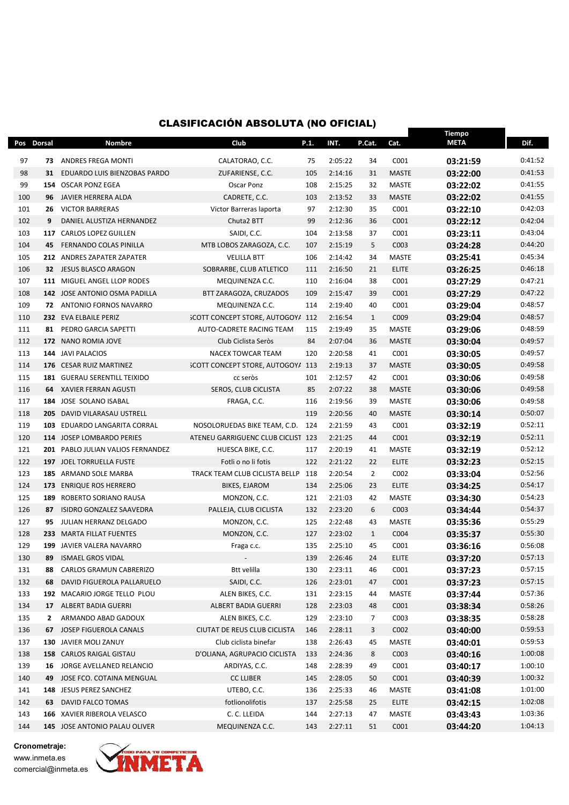## CLASIFICACIÓN ABSOLUTA (NO OFICIAL)

| Pos Dorsal |              | Nombre                                             | Club                                     | P.1.       | INT.               | P.Cat.             | Cat.         | Tiempo<br><b>META</b> | Dif.               |
|------------|--------------|----------------------------------------------------|------------------------------------------|------------|--------------------|--------------------|--------------|-----------------------|--------------------|
| 97         |              | 73 ANDRES FREGA MONTI                              | CALATORAO, C.C.                          | 75         | 2:05:22            | 34                 | C001         | 03:21:59              | 0:41:52            |
| 98         |              | 31 EDUARDO LUIS BIENZOBAS PARDO                    | ZUFARIENSE, C.C.                         | 105        | 2:14:16            | 31                 | <b>MASTE</b> | 03:22:00              | 0:41:53            |
| 99         |              | 154 OSCAR PONZ EGEA                                | Oscar Ponz                               | 108        | 2:15:25            | 32                 | MASTE        | 03:22:02              | 0:41:55            |
| 100        |              | 96 JAVIER HERRERA ALDA                             | CADRETE, C.C.                            | 103        | 2:13:52            | 33                 | <b>MASTE</b> | 03:22:02              | 0:41:55            |
| 101        | 26           | <b>VICTOR BARRERAS</b>                             | Victor Barreras laporta                  | 97         | 2:12:30            | 35                 | C001         | 03:22:10              | 0:42:03            |
| 102        | 9            | DANIEL ALUSTIZA HERNANDEZ                          | Chuta2 BTT                               | 99         | 2:12:36            | 36                 | C001         | 03:22:12              | 0:42:04            |
| 103        |              | 117 CARLOS LOPEZ GUILLEN                           | SAIDI, C.C.                              | 104        | 2:13:58            | 37                 | C001         | 03:23:11              | 0:43:04            |
| 104        |              | 45 FERNANDO COLAS PINILLA                          | MTB LOBOS ZARAGOZA, C.C.                 | 107        | 2:15:19            | 5                  | C003         | 03:24:28              | 0:44:20            |
| 105        |              | 212 ANDRES ZAPATER ZAPATER                         | <b>VELILLA BTT</b>                       | 106        | 2:14:42            | 34                 | <b>MASTE</b> | 03:25:41              | 0:45:34            |
| 106        |              | 32 JESUS BLASCO ARAGON                             | SOBRARBE, CLUB ATLETICO                  | 111        | 2:16:50            | 21                 | <b>ELITE</b> | 03:26:25              | 0:46:18            |
| 107        |              | 111 MIGUEL ANGEL LLOP RODES                        | MEQUINENZA C.C.                          | 110        | 2:16:04            | 38                 | C001         | 03:27:29              | 0:47:21            |
| 108        |              | 142 JOSE ANTONIO OSMA PADILLA                      | BTT ZARAGOZA, CRUZADOS                   | 109        | 2:15:47            | 39                 | C001         | 03:27:29              | 0:47:22            |
| 109        |              | 72 ANTONIO FORNOS NAVARRO                          | MEQUINENZA C.C.                          | 114        | 2:19:40            | 40                 | C001         | 03:29:04              | 0:48:57            |
| 110        |              | 232 EVA ELBAILE PERIZ                              | <b>SCOTT CONCEPT STORE, AUTOGOYA 112</b> |            | 2:16:54            | $\mathbf{1}$       | C009         | 03:29:04              | 0:48:57            |
| 111        | 81           | PEDRO GARCIA SAPETTI                               | AUTO-CADRETE RACING TEAM                 | 115        | 2:19:49            | 35                 | <b>MASTE</b> | 03:29:06              | 0:48:59            |
| 112        |              | 172 NANO ROMIA JOVE                                | Club Ciclista Seròs                      | 84         | 2:07:04            | 36                 | <b>MASTE</b> | 03:30:04              | 0:49:57            |
| 113        |              | 144 JAVI PALACIOS                                  | <b>NACEX TOWCAR TEAM</b>                 | 120        | 2:20:58            | 41                 | C001         | 03:30:05              | 0:49:57            |
| 114        |              | 176 CESAR RUIZ MARTINEZ                            | <b>SCOTT CONCEPT STORE, AUTOGOYA 113</b> |            | 2:19:13            | 37                 | <b>MASTE</b> | 03:30:05              | 0:49:58            |
| 115        |              | 181 GUERAU SERENTILL TEIXIDO                       | cc seròs                                 | 101        | 2:12:57            | 42                 | C001         | 03:30:06              | 0:49:58            |
| 116        |              | <b>64 XAVIER FERRAN AGUSTI</b>                     | SEROS, CLUB CICLISTA                     | 85         | 2:07:22            | 38                 | <b>MASTE</b> | 03:30:06              | 0:49:58            |
| 117        |              | 184 JOSE SOLANO ISABAL                             | FRAGA, C.C.                              | 116        | 2:19:56            | 39                 | <b>MASTE</b> | 03:30:06              | 0:49:58            |
| 118        |              | 205 DAVID VILARASAU USTRELL                        |                                          | 119        | 2:20:56            | 40                 | <b>MASTE</b> | 03:30:14              | 0:50:07            |
| 119        |              | 103 EDUARDO LANGARITA CORRAL                       | NOSOLORUEDAS BIKE TEAM, C.D. 124         |            | 2:21:59            | 43                 | C001         | 03:32:19              | 0:52:11            |
| 120        |              | 114 JOSEP LOMBARDO PERIES                          | ATENEU GARRIGUENC CLUB CICLIST 123       |            | 2:21:25            | 44                 | C001         | 03:32:19              | 0:52:11            |
| 121        |              | 201 PABLO JULIAN VALIOS FERNANDEZ                  | HUESCA BIKE, C.C.                        | 117        | 2:20:19            | 41                 | <b>MASTE</b> | 03:32:19              | 0:52:12            |
| 122        |              | 197 JOEL TORRUELLA FUSTE                           | Fotli o no li fotis                      | 122        | 2:21:22            | 22                 | <b>ELITE</b> | 03:32:23              | 0:52:15            |
| 123        |              | 185 ARMAND SOLE MARBA                              | TRACK TEAM CLUB CICLISTA BELLP 118       |            | 2:20:54            | $\overline{2}$     | C002         | 03:33:04              | 0:52:56            |
| 124        |              | 173 ENRIQUE ROS HERRERO                            | BIKES, EJAROM                            | 134        | 2:25:06            | 23                 | <b>ELITE</b> | 03:34:25              | 0:54:17            |
| 125        |              | 189 ROBERTO SORIANO RAUSA                          | MONZON, C.C.                             | 121        | 2:21:03            | 42                 | <b>MASTE</b> | 03:34:30              | 0:54:23            |
| 126        | 87           | ISIDRO GONZALEZ SAAVEDRA                           | PALLEJA, CLUB CICLISTA                   | 132        | 2:23:20            | 6                  | C003         | 03:34:44              | 0:54:37            |
| 127        | 95           | JULIAN HERRANZ DELGADO<br>233 MARTA FILLAT FUENTES | MONZON, C.C.                             | 125        | 2:22:48            | 43                 | <b>MASTE</b> | 03:35:36              | 0:55:29<br>0:55:30 |
| 128<br>129 |              | 199 JAVIER VALERA NAVARRO                          | MONZON, C.C.                             | 127<br>135 | 2:23:02<br>2:25:10 | $\mathbf{1}$<br>45 | C004<br>C001 | 03:35:37              | 0:56:08            |
| 130        |              | 89 ISMAEL GROS VIDAL                               | Fraga c.c.                               | 139        | 2:26:46            | 24                 | <b>ELITE</b> | 03:36:16<br>03:37:20  | 0:57:13            |
| 131        | 88           | CARLOS GRAMUN CABRERIZO                            | <b>Btt velilla</b>                       | 130        | 2:23:11            | 46                 | C001         | 03:37:23              | 0:57:15            |
| 132        | 68           | DAVID FIGUEROLA PALLARUELO                         | SAIDI, C.C.                              | 126        | 2:23:01            | 47                 | C001         | 03:37:23              | 0:57:15            |
| 133        |              | 192 MACARIO JORGE TELLO PLOU                       | ALEN BIKES, C.C.                         | 131        | 2:23:15            | 44                 | <b>MASTE</b> | 03:37:44              | 0:57:36            |
| 134        |              | 17 ALBERT BADIA GUERRI                             | ALBERT BADIA GUERRI                      | 128        | 2:23:03            | 48                 | C001         | 03:38:34              | 0:58:26            |
| 135        | $\mathbf{2}$ | ARMANDO ABAD GADOUX                                | ALEN BIKES, C.C.                         | 129        | 2:23:10            | 7                  | C003         | 03:38:35              | 0:58:28            |
| 136        |              | 67 JOSEP FIGUEROLA CANALS                          | CIUTAT DE REUS CLUB CICLISTA             | 146        | 2:28:11            | 3                  | C002         | 03:40:00              | 0:59:53            |
| 137        |              | 130 JAVIER MOLI ZANUY                              | Club ciclista binefar                    | 138        | 2:26:43            | 45                 | MASTE        | 03:40:01              | 0:59:53            |
| 138        |              | 158 CARLOS RAIGAL GISTAU                           | D'OLIANA, AGRUPACIO CICLISTA             | 133        | 2:24:36            | 8                  | C003         | 03:40:16              | 1:00:08            |
| 139        | 16           | JORGE AVELLANED RELANCIO                           | ARDIYAS, C.C.                            | 148        | 2:28:39            | 49                 | C001         | 03:40:17              | 1:00:10            |
| 140        | 49           | JOSE FCO. COTAINA MENGUAL                          | <b>CC LLIBER</b>                         | 145        | 2:28:05            | 50                 | C001         | 03:40:39              | 1:00:32            |
| 141        | 148          | JESUS PEREZ SANCHEZ                                | UTEBO, C.C.                              | 136        | 2:25:33            | 46                 | <b>MASTE</b> | 03:41:08              | 1:01:00            |
| 142        | 63           | DAVID FALCO TOMAS                                  | fotlionolifotis                          | 137        | 2:25:58            | 25                 | <b>ELITE</b> | 03:42:15              | 1:02:08            |
| 143        |              | 166 XAVIER RIBEROLA VELASCO                        | C. C. LLEIDA                             | 144        | 2:27:13            | 47                 | <b>MASTE</b> | 03:43:43              | 1:03:36            |
| 144        |              | 145 JOSE ANTONIO PALAU OLIVER                      | MEQUINENZA C.C.                          | 143        | 2:27:11            | 51                 | C001         | 03:44:20              | 1:04:13            |

Cronometraje: www.inmeta.es